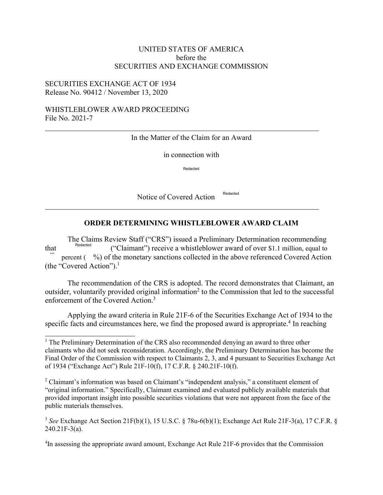## UNITED STATES OF AMERICA before the SECURITIES AND EXCHANGE COMMISSION

### SECURITIES EXCHANGE ACT OF 1934 Release No. 90412 / November 13, 2020

### WHISTLEBLOWER AWARD PROCEEDING File No. 2021-7

#### In the Matter of the Claim for an Award

in connection with

Redacted

Notice of Covered Action<sup>Redacted</sup>

# **ORDER DETERMINING WHISTLEBLOWER AWARD CLAIM**

The Claims Review Staff ("CRS") issued a Preliminary Determination recommending<br>Redacted ("CRS") issued a Preliminary Determination recommending that Redacted ("Claimant") receive a whistleblower award of over \$1.1 million, equal to percent ( $\%$ ) of the monetary sanctions collected in the above referenced Covered Action (the "Covered Action"). $<sup>1</sup>$ </sup>

The recommendation of the CRS is adopted. The record demonstrates that Claimant, an outsider, voluntarily provided original information<sup>2</sup> to the Commission that led to the successful enforcement of the Covered Action.3

Applying the award criteria in Rule 21F-6 of the Securities Exchange Act of 1934 to the specific facts and circumstances here, we find the proposed award is appropriate.<sup>4</sup> In reaching

<sup>&</sup>lt;sup>1</sup> The Preliminary Determination of the CRS also recommended denying an award to three other claimants who did not seek reconsideration. Accordingly, the Preliminary Determination has become the Final Order of the Commission with respect to Claimants 2, 3, and 4 pursuant to Securities Exchange Act of 1934 ("Exchange Act") Rule 21F-10(f), 17 C.F.R. § 240.21F-10(f).

<sup>&</sup>lt;sup>2</sup> Claimant's information was based on Claimant's "independent analysis," a constituent element of "original information." Specifically, Claimant examined and evaluated publicly available materials that provided important insight into possible securities violations that were not apparent from the face of the public materials themselves.

<sup>3</sup> *See* Exchange Act Section 21F(b)(1), 15 U.S.C. § 78u-6(b)(1); Exchange Act Rule 21F-3(a), 17 C.F.R. §  $240.21F-3(a)$ .

<sup>&</sup>lt;sup>4</sup>In assessing the appropriate award amount, Exchange Act Rule 21F-6 provides that the Commission